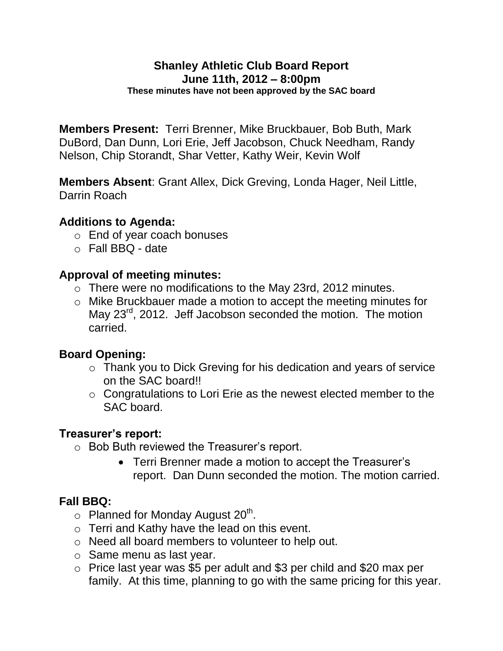#### **Shanley Athletic Club Board Report June 11th, 2012 – 8:00pm These minutes have not been approved by the SAC board**

**Members Present:** Terri Brenner, Mike Bruckbauer, Bob Buth, Mark DuBord, Dan Dunn, Lori Erie, Jeff Jacobson, Chuck Needham, Randy Nelson, Chip Storandt, Shar Vetter, Kathy Weir, Kevin Wolf

**Members Absent**: Grant Allex, Dick Greving, Londa Hager, Neil Little, Darrin Roach

### **Additions to Agenda:**

- o End of year coach bonuses
- $\circ$  Fall BBQ date

### **Approval of meeting minutes:**

- o There were no modifications to the May 23rd, 2012 minutes.
- o Mike Bruckbauer made a motion to accept the meeting minutes for May 23<sup>rd</sup>, 2012. Jeff Jacobson seconded the motion. The motion carried.

# **Board Opening:**

- o Thank you to Dick Greving for his dedication and years of service on the SAC board!!
- $\circ$  Congratulations to Lori Erie as the newest elected member to the SAC board.

### **Treasurer's report:**

- o Bob Buth reviewed the Treasurer's report.
	- Terri Brenner made a motion to accept the Treasurer's report. Dan Dunn seconded the motion. The motion carried.

# **Fall BBQ:**

- $\circ$  Planned for Monday August 20<sup>th</sup>.
- o Terri and Kathy have the lead on this event.
- o Need all board members to volunteer to help out.
- o Same menu as last year.
- o Price last year was \$5 per adult and \$3 per child and \$20 max per family. At this time, planning to go with the same pricing for this year.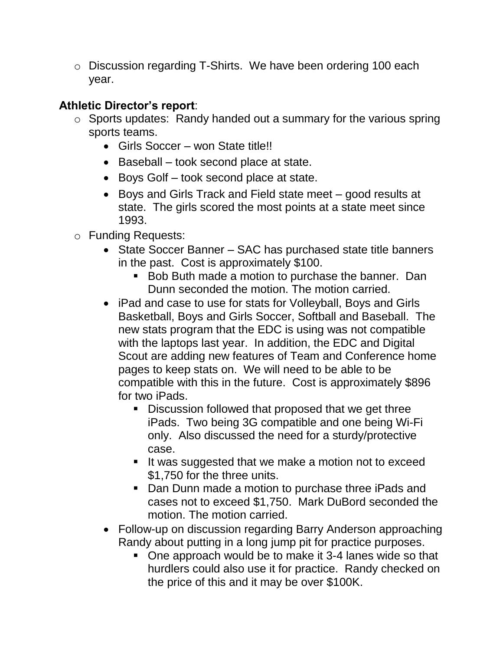o Discussion regarding T-Shirts. We have been ordering 100 each year.

# **Athletic Director's report**:

- $\circ$  Sports updates: Randy handed out a summary for the various spring sports teams.
	- Girls Soccer won State title!!
	- Baseball took second place at state.
	- Boys Golf took second place at state.
	- Boys and Girls Track and Field state meet good results at state. The girls scored the most points at a state meet since 1993.
- o Funding Requests:
	- State Soccer Banner SAC has purchased state title banners in the past. Cost is approximately \$100.
		- **Bob Buth made a motion to purchase the banner. Dan** Dunn seconded the motion. The motion carried.
	- iPad and case to use for stats for Volleyball, Boys and Girls Basketball, Boys and Girls Soccer, Softball and Baseball. The new stats program that the EDC is using was not compatible with the laptops last year. In addition, the EDC and Digital Scout are adding new features of Team and Conference home pages to keep stats on. We will need to be able to be compatible with this in the future. Cost is approximately \$896 for two iPads.
		- Discussion followed that proposed that we get three iPads. Two being 3G compatible and one being Wi-Fi only. Also discussed the need for a sturdy/protective case.
		- If was suggested that we make a motion not to exceed \$1,750 for the three units.
		- Dan Dunn made a motion to purchase three iPads and cases not to exceed \$1,750. Mark DuBord seconded the motion. The motion carried.
	- Follow-up on discussion regarding Barry Anderson approaching Randy about putting in a long jump pit for practice purposes.
		- One approach would be to make it 3-4 lanes wide so that hurdlers could also use it for practice. Randy checked on the price of this and it may be over \$100K.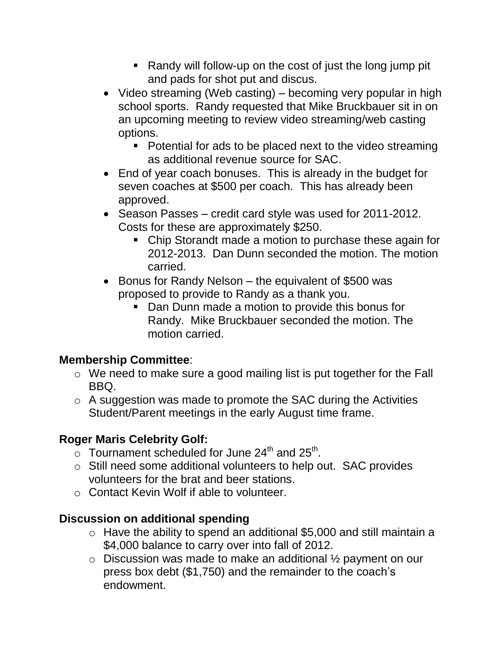- Randy will follow-up on the cost of just the long jump pit and pads for shot put and discus.
- Video streaming (Web casting) becoming very popular in high school sports. Randy requested that Mike Bruckbauer sit in on an upcoming meeting to review video streaming/web casting options.
	- Potential for ads to be placed next to the video streaming as additional revenue source for SAC.
- End of year coach bonuses. This is already in the budget for seven coaches at \$500 per coach. This has already been approved.
- Season Passes credit card style was used for 2011-2012. Costs for these are approximately \$250.
	- Chip Storandt made a motion to purchase these again for 2012-2013. Dan Dunn seconded the motion. The motion carried.
- Bonus for Randy Nelson the equivalent of \$500 was proposed to provide to Randy as a thank you.
	- **Dan Dunn made a motion to provide this bonus for** Randy. Mike Bruckbauer seconded the motion. The motion carried.

# **Membership Committee**:

- o We need to make sure a good mailing list is put together for the Fall BBQ.
- o A suggestion was made to promote the SAC during the Activities Student/Parent meetings in the early August time frame.

# **Roger Maris Celebrity Golf:**

- $\overline{\circ}$  Tournament scheduled for June 24<sup>th</sup> and 25<sup>th</sup>.
- o Still need some additional volunteers to help out. SAC provides volunteers for the brat and beer stations.
- o Contact Kevin Wolf if able to volunteer.

# **Discussion on additional spending**

- $\circ$  Have the ability to spend an additional \$5,000 and still maintain a \$4,000 balance to carry over into fall of 2012.
- $\circ$  Discussion was made to make an additional  $\frac{1}{2}$  payment on our press box debt (\$1,750) and the remainder to the coach's endowment.